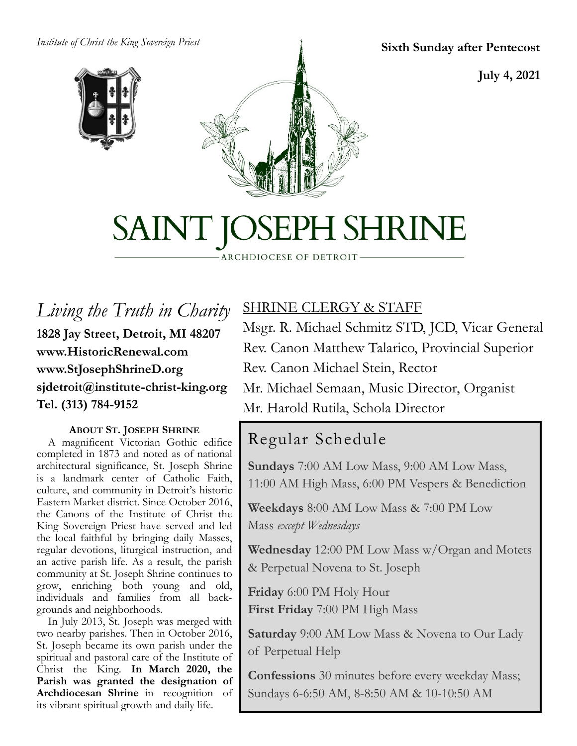*Institute of Christ the King Sovereign Priest*





**Sixth Sunday after Pentecost**

**July 4, 2021**

# SAINT JOSEPH SHRINE

ARCHDIOCESE OF DETROIT

## *Living the Truth in Charity* **1828 Jay Street, Detroit, MI 48207 www.HistoricRenewal.com www.StJosephShrineD.org sjdetroit@institute-christ-king.org Tel. (313) 784-9152**

#### **ABOUT ST. JOSEPH SHRINE**

 A magnificent Victorian Gothic edifice completed in 1873 and noted as of national architectural significance, St. Joseph Shrine is a landmark center of Catholic Faith, culture, and community in Detroit's historic Eastern Market district. Since October 2016, the Canons of the Institute of Christ the King Sovereign Priest have served and led the local faithful by bringing daily Masses, regular devotions, liturgical instruction, and an active parish life. As a result, the parish community at St. Joseph Shrine continues to grow, enriching both young and old, individuals and families from all backgrounds and neighborhoods.

 In July 2013, St. Joseph was merged with two nearby parishes. Then in October 2016, St. Joseph became its own parish under the spiritual and pastoral care of the Institute of Christ the King. **In March 2020, the Parish was granted the designation of Archdiocesan Shrine** in recognition of its vibrant spiritual growth and daily life.

## SHRINE CLERGY & STAFF

Msgr. R. Michael Schmitz STD, JCD, Vicar General Rev. Canon Matthew Talarico, Provincial Superior Rev. Canon Michael Stein, Rector Mr. Michael Semaan, Music Director, Organist

#### Mr. Harold Rutila, Schola Director

# Regular Schedule

**Sundays** 7:00 AM Low Mass, 9:00 AM Low Mass, 11:00 AM High Mass, 6:00 PM Vespers & Benediction

**Weekdays** 8:00 AM Low Mass & 7:00 PM Low Mass *except Wednesdays*

**Wednesday** 12:00 PM Low Mass w/Organ and Motets & Perpetual Novena to St. Joseph

**Friday** 6:00 PM Holy Hour **First Friday** 7:00 PM High Mass

**Saturday** 9:00 AM Low Mass & Novena to Our Lady of Perpetual Help

**Confessions** 30 minutes before every weekday Mass; Sundays 6-6:50 AM, 8-8:50 AM & 10-10:50 AM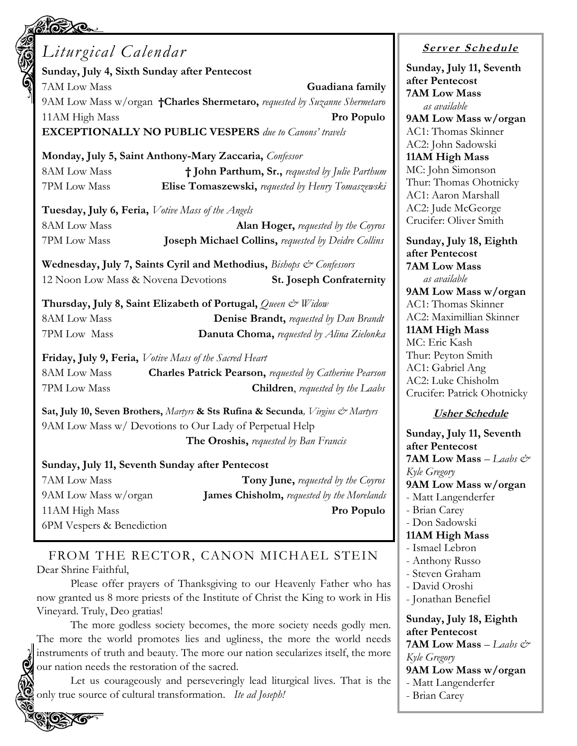| Liturgical Calendar                               |                                                                                  |
|---------------------------------------------------|----------------------------------------------------------------------------------|
| Sunday, July 4, Sixth Sunday after Pentecost      |                                                                                  |
| 7AM Low Mass                                      | Guadiana family                                                                  |
|                                                   | 9AM Low Mass w/organ <b>+Charles Shermetaro,</b> requested by Suzanne Shermetaro |
| 11AM High Mass                                    | Pro Populo                                                                       |
|                                                   | <b>EXCEPTIONALLY NO PUBLIC VESPERS</b> due to Canons' travels                    |
|                                                   | Monday, July 5, Saint Anthony-Mary Zaccaria, Confessor                           |
| 8AM Low Mass                                      | † John Parthum, Sr., requested by Julie Parthum                                  |
| 7PM Low Mass                                      | Elise Tomaszewski, requested by Henry Tomaszewski                                |
| Tuesday, July 6, Feria, Votive Mass of the Angels |                                                                                  |
| <b>8AM Low Mass</b>                               | <b>Alan Hoger,</b> requested by the Coyros                                       |
| 7PM Low Mass                                      | Joseph Michael Collins, requested by Deidre Collins                              |
|                                                   | Wednesday, July 7, Saints Cyril and Methodius, <i>Bishops &amp; Confessors</i>   |
| 12 Noon Low Mass & Novena Devotions               | <b>St. Joseph Confraternity</b>                                                  |
|                                                   | Thursday, July 8, Saint Elizabeth of Portugal, Queen & Widow                     |
| 8AM Low Mass                                      | <b>Denise Brandt, requested by Dan Brandt</b>                                    |
| 7PM Low Mass                                      | <b>Danuta Choma, requested by Alina Zielonka</b>                                 |
|                                                   | Friday, July 9, Feria, Votive Mass of the Sacred Heart                           |
| <b>8AM Low Mass</b>                               | <b>Charles Patrick Pearson, requested by Catherine Pearson</b>                   |
| 7PM Low Mass                                      | <b>Children</b> , requested by the Laabs                                         |
|                                                   | Sat, July 10, Seven Brothers, Martyrs & Sts Rufina & Secunda, Virgins & Martyrs  |
|                                                   | 9AM Low Mass w/ Devotions to Our Lady of Perpetual Help                          |
|                                                   | <b>The Oroshis,</b> requested by Ban Francis                                     |
|                                                   | Sunday, July 11, Seventh Sunday after Pentecost                                  |
| 7AM Low Mass                                      | <b>Tony June, requested by the Coyros</b>                                        |
| 9AM Low Mass w/organ                              | <b>James Chisholm, requested by the Morelands</b>                                |
| 11AM High Mass                                    | Pro Populo                                                                       |

FROM THE RECTOR, CANON MICHAEL STEIN Dear Shrine Faithful,

6PM Vespers & Benediction

Please offer prayers of Thanksgiving to our Heavenly Father who has now granted us 8 more priests of the Institute of Christ the King to work in His Vineyard. Truly, Deo gratias!

The more godless society becomes, the more society needs godly men. The more the world promotes lies and ugliness, the more the world needs instruments of truth and beauty. The more our nation secularizes itself, the more our nation needs the restoration of the sacred.

Let us courageously and perseveringly lead liturgical lives. That is the only true source of cultural transformation. *Ite ad Joseph!* 

#### **<sup>S</sup> <sup>e</sup> rv er <sup>S</sup> <sup>c</sup> he du le**

**Sunday, July 11, Seventh after Pentecost 7AM Low Mass** *as available* **9AM Low Mass w/organ** C1: Thomas Skinner C<sub>2</sub>: John Sadowski **11AM High Mass** C: John Simonson hur: Thomas Ohotnicky C1: Aaron Marshall C<sub>2</sub>: Jude McGeorge rucifer: Oliver Smith

**Sunday, July 18, Eighth after Pentecost 7AM Low Mass** *as available* **9AM Low Mass w/organ** C1: Thomas Skinner C2: Maximillian Skinner **11AM High Mass** C: Eric Kash nur: Peyton Smith C1: Gabriel Ang C2: Luke Chisholm rucifer: Patrick Ohotnicky

#### **Usher Schedule**

**Sunday, July 11, Seventh after Pentecost 7AM Low Mass** – *Laabs & Kyle Gregory* **9AM Low Mass w/organ** Matt Langenderfer Brian Carey - Don Sadowski **11AM High Mass** - Ismael Lebron - Anthony Russo - Steven Graham - David Oroshi - Jonathan Benefiel **Sunday, July 18, Eighth after Pentecost 7AM Low Mass**  $-$  *Laabs*  $e^x$ *Kyle Gregory* **9AM Low Mass w/organ** - Matt Langenderfer

- Brian Carey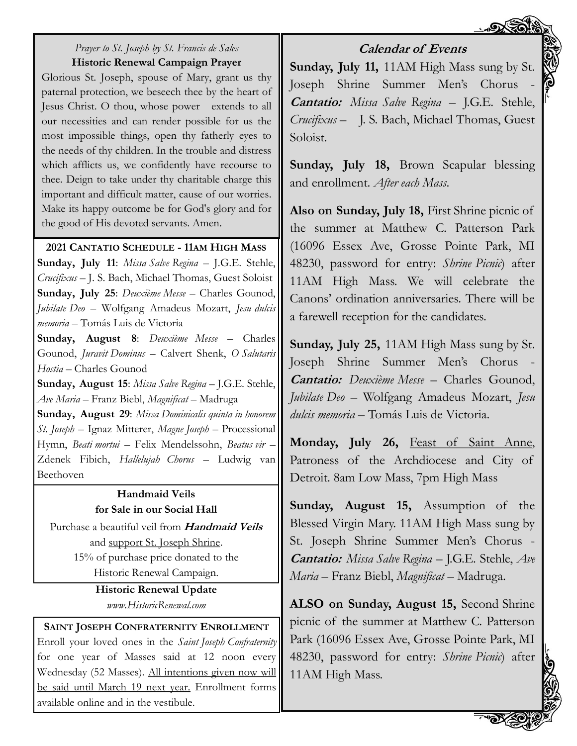

#### *Prayer to St. Joseph by St. Francis de Sales* **Historic Renewal Campaign Prayer**

Glorious St. Joseph, spouse of Mary, grant us thy paternal protection, we beseech thee by the heart of Jesus Christ. O thou, whose power extends to all our necessities and can render possible for us the most impossible things, open thy fatherly eyes to the needs of thy children. In the trouble and distress which afflicts us, we confidently have recourse to thee. Deign to take under thy charitable charge this important and difficult matter, cause of our worries. Make its happy outcome be for God's glory and for the good of His devoted servants. Amen.

#### **2021 CANTATIO SCHEDULE - 11AM HIGH MASS**

**Sunday, July 11**: *Missa Salve Regina* – J.G.E. Stehle, *Crucifixus* – J. S. Bach, Michael Thomas, Guest Soloist **Sunday, July 25**: *Deuxième Messe* – Charles Gounod, *Jubilate Deo* – Wolfgang Amadeus Mozart, *Jesu dulcis memoria* – Tomás Luis de Victoria

**Sunday, August 8**: *Deuxième Messe* – Charles Gounod, *Juravit Dominus* – Calvert Shenk, *O Salutaris Hostia* – Charles Gounod

**Sunday, August 15**: *Missa Salve Regina* – J.G.E. Stehle, *Ave Maria* – Franz Biebl, *Magnificat* – Madruga **Sunday, August 29**: *Missa Dominicalis quinta in honorem St. Joseph* – Ignaz Mitterer, *Magne Joseph* – Processional Hymn, *Beati mortui* – Felix Mendelssohn, *Beatus vir* – Zdenek Fibich, *Hallelujah Chorus* – Ludwig van Beethoven

#### **Handmaid Veils for Sale in our Social Hall**

Purchase a beautiful veil from **Handmaid Veils** and support St. Joseph Shrine. 15% of purchase price donated to the Historic Renewal Campaign.

> **Historic Renewal Update** *www.HistoricRenewal.com*

**SAINT JOSEPH CONFRATERNITY ENROLLMENT** Enroll your loved ones in the *Saint Joseph Confraternity*  for one year of Masses said at 12 noon every Wednesday (52 Masses). All intentions given now will be said until March 19 next year. Enrollment forms available online and in the vestibule.

#### **Calendar of Events**

**Sunday, July 11,** 11AM High Mass sung by St. Joseph Shrine Summer Men's Chorus **Cantatio:** *Missa Salve Regina* – J.G.E. Stehle, *Crucifixus* – J. S. Bach, Michael Thomas, Guest Soloist.

**Sunday, July 18,** Brown Scapular blessing and enrollment. *After each Mass*.

**Also on Sunday, July 18,** First Shrine picnic of the summer at Matthew C. Patterson Park (16096 Essex Ave, Grosse Pointe Park, MI 48230, password for entry: *Shrine Picnic*) after 11AM High Mass. We will celebrate the Canons' ordination anniversaries. There will be a farewell reception for the candidates.

**Sunday, July 25,** 11AM High Mass sung by St. Joseph Shrine Summer Men's Chorus - **Cantatio:** *Deuxième Messe* – Charles Gounod, *Jubilate Deo* – Wolfgang Amadeus Mozart, *Jesu dulcis memoria* – Tomás Luis de Victoria.

**Monday, July 26,** Feast of Saint Anne, Patroness of the Archdiocese and City of Detroit. 8am Low Mass, 7pm High Mass

**Sunday, August 15,** Assumption of the Blessed Virgin Mary. 11AM High Mass sung by St. Joseph Shrine Summer Men's Chorus - **Cantatio:** *Missa Salve Regina* – J.G.E. Stehle, *Ave Maria* – Franz Biebl, *Magnificat* – Madruga.

**ALSO on Sunday, August 15,** Second Shrine picnic of the summer at Matthew C. Patterson Park (16096 Essex Ave, Grosse Pointe Park, MI 48230, password for entry: *Shrine Picnic*) after 11AM High Mass.